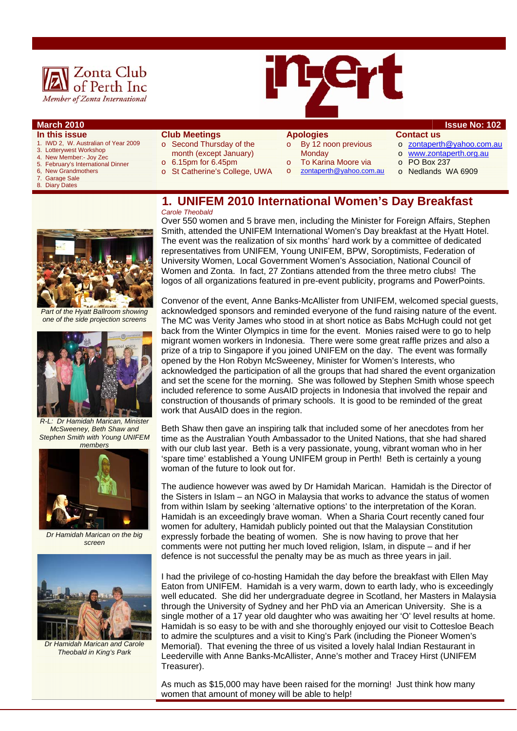



- **In this issue**
- 1. IWD 2, W. Australian of Year 2009<br>3. Lotterwiest Workshop
- Lotterywest Workshop 4. New Member:- Joy Zec
- 
- 5. February's International Dinner 6, New Grandmothers<br>7. Garage Sale
- 7. Garage Sale<br>8. Diary Dates
- **Diary Dates**
- **Club Meetings**
- o Second Thursday of the month (except January)
- $\circ$  6.15pm for 6.45pm
- o St Catherine's College, UWA

## **Apologies**

- o By 12 noon previous **Monday**
- To Karina Moore via
- o zontaperth@yahoo.com.au
- 
- o zontaperth@yahoo.com.au
- o www.zontaperth.org.au
- o PO Box 237
- o Nedlands WA 6909

### **1. UNIFEM 2010 International Women's Day Breakfast**  *Carole Theobald*



*Part of the Hyatt Ballroom showing one of the side projection screens* 



*R-L: Dr Hamidah Marican, Minister McSweeney, Beth Shaw and Stephen Smith with Young UNIFEM members* 



*Dr Hamidah Marican on the big screen* 



*Dr Hamidah Marican and Carole Theobald in King's Park* 

Over 550 women and 5 brave men, including the Minister for Foreign Affairs, Stephen Smith, attended the UNIFEM International Women's Day breakfast at the Hyatt Hotel. The event was the realization of six months' hard work by a committee of dedicated representatives from UNIFEM, Young UNIFEM, BPW, Soroptimists, Federation of University Women, Local Government Women's Association, National Council of Women and Zonta. In fact, 27 Zontians attended from the three metro clubs! The logos of all organizations featured in pre-event publicity, programs and PowerPoints.

Convenor of the event, Anne Banks-McAllister from UNIFEM, welcomed special guests, acknowledged sponsors and reminded everyone of the fund raising nature of the event. The MC was Verity James who stood in at short notice as Babs McHugh could not get back from the Winter Olympics in time for the event. Monies raised were to go to help migrant women workers in Indonesia. There were some great raffle prizes and also a prize of a trip to Singapore if you joined UNIFEM on the day. The event was formally opened by the Hon Robyn McSweeney, Minister for Women's Interests, who acknowledged the participation of all the groups that had shared the event organization and set the scene for the morning. She was followed by Stephen Smith whose speech included reference to some AusAID projects in Indonesia that involved the repair and construction of thousands of primary schools. It is good to be reminded of the great work that AusAID does in the region.

Beth Shaw then gave an inspiring talk that included some of her anecdotes from her time as the Australian Youth Ambassador to the United Nations, that she had shared with our club last year. Beth is a very passionate, young, vibrant woman who in her 'spare time' established a Young UNIFEM group in Perth! Beth is certainly a young woman of the future to look out for.

The audience however was awed by Dr Hamidah Marican. Hamidah is the Director of the Sisters in Islam – an NGO in Malaysia that works to advance the status of women from within Islam by seeking 'alternative options' to the interpretation of the Koran. Hamidah is an exceedingly brave woman. When a Sharia Court recently caned four women for adultery, Hamidah publicly pointed out that the Malaysian Constitution expressly forbade the beating of women. She is now having to prove that her comments were not putting her much loved religion, Islam, in dispute – and if her defence is not successful the penalty may be as much as three years in jail.

I had the privilege of co-hosting Hamidah the day before the breakfast with Ellen May Eaton from UNIFEM. Hamidah is a very warm, down to earth lady, who is exceedingly well educated. She did her undergraduate degree in Scotland, her Masters in Malaysia through the University of Sydney and her PhD via an American University. She is a single mother of a 17 year old daughter who was awaiting her 'O' level results at home. Hamidah is so easy to be with and she thoroughly enjoyed our visit to Cottesloe Beach to admire the sculptures and a visit to King's Park (including the Pioneer Women's Memorial). That evening the three of us visited a lovely halal Indian Restaurant in Leederville with Anne Banks-McAllister, Anne's mother and Tracey Hirst (UNIFEM Treasurer).

As much as \$15,000 may have been raised for the morning! Just think how many women that amount of money will be able to help!

- **March 2010 Issue No: 102 Contact us** 
	- -
	-
	- -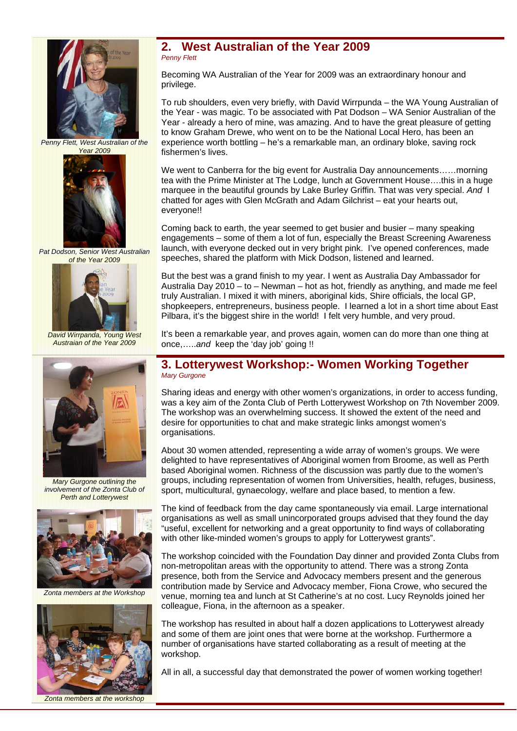

*Penny Flett, West Australian of the Year 2009* 



*Pat Dodson, Senior West Australian of the Year 2009* 



*David Wirrpanda, Young West Austraian of the Year 2009* 



*Mary Gurgone outlining the involvement of the Zonta Club of Perth and Lotterywest* 



*Zonta members at the Workshop* 



### **2. West Australian of the Year 2009**  *Penny Flett*

Becoming WA Australian of the Year for 2009 was an extraordinary honour and privilege.

To rub shoulders, even very briefly, with David Wirrpunda – the WA Young Australian of the Year - was magic. To be associated with Pat Dodson – WA Senior Australian of the Year - already a hero of mine, was amazing. And to have the great pleasure of getting to know Graham Drewe, who went on to be the National Local Hero, has been an experience worth bottling – he's a remarkable man, an ordinary bloke, saving rock fishermen's lives.

We went to Canberra for the big event for Australia Day announcements……morning tea with the Prime Minister at The Lodge, lunch at Government House….this in a huge marquee in the beautiful grounds by Lake Burley Griffin. That was very special. *And* I chatted for ages with Glen McGrath and Adam Gilchrist – eat your hearts out, everyone!!

Coming back to earth, the year seemed to get busier and busier – many speaking engagements – some of them a lot of fun, especially the Breast Screening Awareness launch, with everyone decked out in very bright pink. I've opened conferences, made speeches, shared the platform with Mick Dodson, listened and learned.

But the best was a grand finish to my year. I went as Australia Day Ambassador for Australia Day 2010 – to – Newman – hot as hot, friendly as anything, and made me feel truly Australian. I mixed it with miners, aboriginal kids, Shire officials, the local GP, shopkeepers, entrepreneurs, business people. I learned a lot in a short time about East Pilbara, it's the biggest shire in the world! I felt very humble, and very proud.

It's been a remarkable year, and proves again, women can do more than one thing at once,…..*and* keep the 'day job' going !!

### **3. Lotterywest Workshop:- Women Working Together**  *Mary Gurgone*

Sharing ideas and energy with other women's organizations, in order to access funding, was a key aim of the Zonta Club of Perth Lotterywest Workshop on 7th November 2009. The workshop was an overwhelming success. It showed the extent of the need and desire for opportunities to chat and make strategic links amongst women's organisations.

About 30 women attended, representing a wide array of women's groups. We were delighted to have representatives of Aboriginal women from Broome, as well as Perth based Aboriginal women. Richness of the discussion was partly due to the women's groups, including representation of women from Universities, health, refuges, business, sport, multicultural, gynaecology, welfare and place based, to mention a few.

The kind of feedback from the day came spontaneously via email. Large international organisations as well as small unincorporated groups advised that they found the day "useful, excellent for networking and a great opportunity to find ways of collaborating with other like-minded women's groups to apply for Lotterywest grants".

The workshop coincided with the Foundation Day dinner and provided Zonta Clubs from non-metropolitan areas with the opportunity to attend. There was a strong Zonta presence, both from the Service and Advocacy members present and the generous contribution made by Service and Advocacy member, Fiona Crowe, who secured the venue, morning tea and lunch at St Catherine's at no cost. Lucy Reynolds joined her colleague, Fiona, in the afternoon as a speaker.

The workshop has resulted in about half a dozen applications to Lotterywest already and some of them are joint ones that were borne at the workshop. Furthermore a number of organisations have started collaborating as a result of meeting at the workshop.

All in all, a successful day that demonstrated the power of women working together!

*Zonta members at the workshop*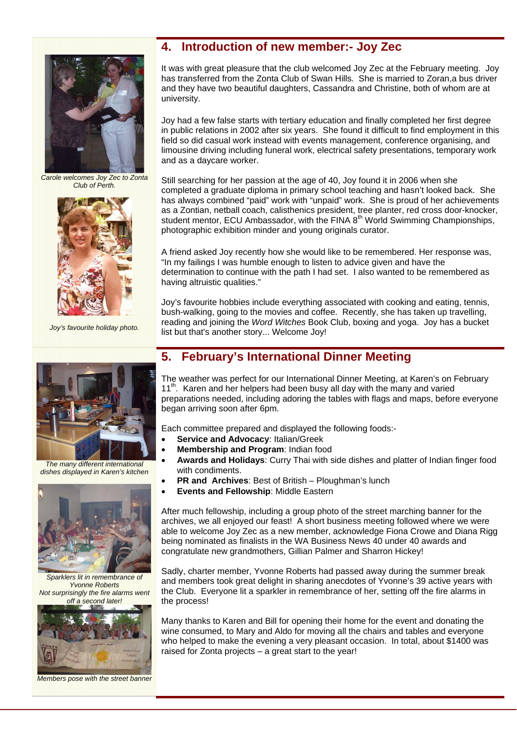

*Carole welcomes Joy Zec to Zonta Club of Perth.* 



*Joy's favourite holiday photo.* 



*The many different international dishes displayed in Karen's kitchen* 



*Sparklers lit in remembrance of Yvonne Roberts Not surprisingly the fire alarms went off a second later!* 



*Members pose with the street banner* 

## **4. Introduction of new member:- Joy Zec**

It was with great pleasure that the club welcomed Joy Zec at the February meeting. Joy has transferred from the Zonta Club of Swan Hills. She is married to Zoran,a bus driver and they have two beautiful daughters, Cassandra and Christine, both of whom are at university.

Joy had a few false starts with tertiary education and finally completed her first degree in public relations in 2002 after six years. She found it difficult to find employment in this field so did casual work instead with events management, conference organising, and limousine driving including funeral work, electrical safety presentations, temporary work and as a daycare worker.

Still searching for her passion at the age of 40, Joy found it in 2006 when she completed a graduate diploma in primary school teaching and hasn't looked back. She has always combined "paid" work with "unpaid" work. She is proud of her achievements as a Zontian, netball coach, calisthenics president, tree planter, red cross door-knocker, student mentor, ECU Ambassador, with the FINA  $8<sup>th</sup>$  World Swimming Championships, photographic exhibition minder and young originals curator.

A friend asked Joy recently how she would like to be remembered. Her response was, "In my failings I was humble enough to listen to advice given and have the determination to continue with the path I had set. I also wanted to be remembered as having altruistic qualities."

Joy's favourite hobbies include everything associated with cooking and eating, tennis, bush-walking, going to the movies and coffee. Recently, she has taken up travelling, reading and joining the *Word Witches* Book Club, boxing and yoga. Joy has a bucket list but that's another story... Welcome Joy!

## **5. February's International Dinner Meeting**

The weather was perfect for our International Dinner Meeting, at Karen's on February 11<sup>th</sup>. Karen and her helpers had been busy all day with the many and varied preparations needed, including adoring the tables with flags and maps, before everyone began arriving soon after 6pm.

Each committee prepared and displayed the following foods:-

- **Service and Advocacy**: Italian/Greek
- **Membership and Program**: Indian food
- **Awards and Holidays**: Curry Thai with side dishes and platter of Indian finger food with condiments.
- **PR and Archives**: Best of British Ploughman's lunch
- **Events and Fellowship**: Middle Eastern

After much fellowship, including a group photo of the street marching banner for the archives, we all enjoyed our feast! A short business meeting followed where we were able to welcome Joy Zec as a new member, acknowledge Fiona Crowe and Diana Rigg being nominated as finalists in the WA Business News 40 under 40 awards and congratulate new grandmothers, Gillian Palmer and Sharron Hickey!

Sadly, charter member, Yvonne Roberts had passed away during the summer break and members took great delight in sharing anecdotes of Yvonne's 39 active years with the Club. Everyone lit a sparkler in remembrance of her, setting off the fire alarms in the process!

Many thanks to Karen and Bill for opening their home for the event and donating the wine consumed, to Mary and Aldo for moving all the chairs and tables and everyone who helped to make the evening a very pleasant occasion. In total, about \$1400 was raised for Zonta projects – a great start to the year!